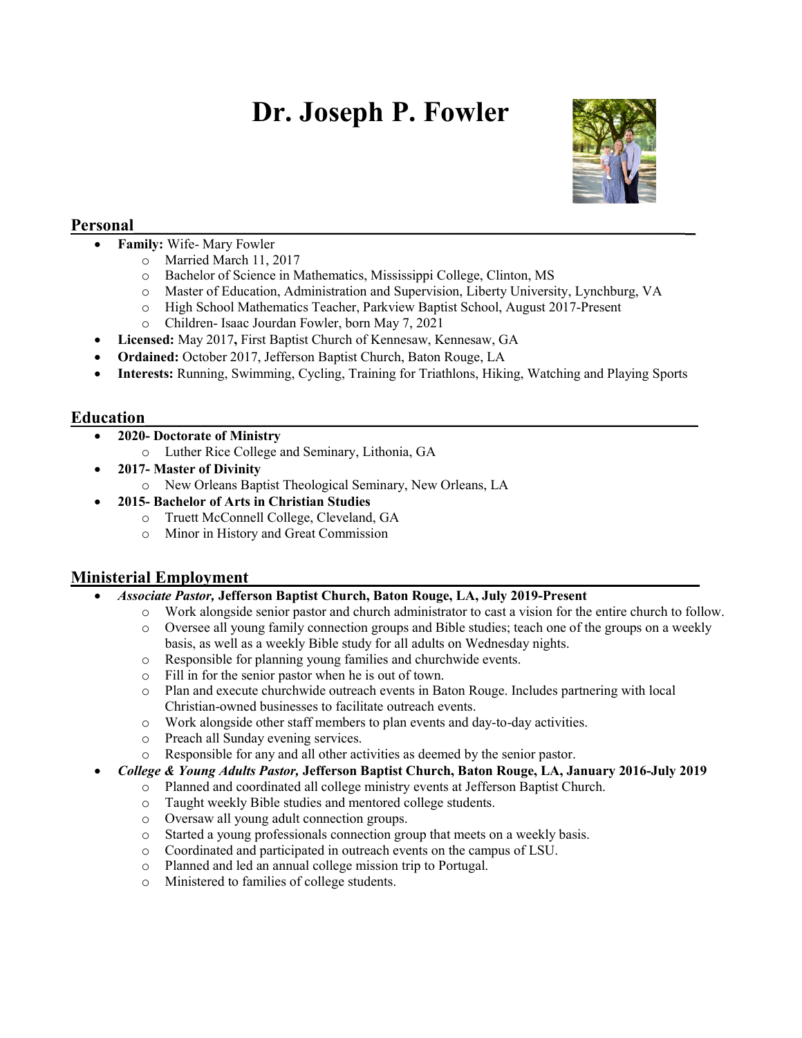# Dr. Joseph P. Fowler



# Personal

- Family: Wife- Mary Fowler
	- o Married March 11, 2017
	- o Bachelor of Science in Mathematics, Mississippi College, Clinton, MS
	- o Master of Education, Administration and Supervision, Liberty University, Lynchburg, VA
	- o High School Mathematics Teacher, Parkview Baptist School, August 2017-Present
	- o Children- Isaac Jourdan Fowler, born May 7, 2021
- Licensed: May 2017, First Baptist Church of Kennesaw, Kennesaw, GA
- Ordained: October 2017, Jefferson Baptist Church, Baton Rouge, LA
- Interests: Running, Swimming, Cycling, Training for Triathlons, Hiking, Watching and Playing Sports

## Education **Exercise Contract Contract Contract Contract Contract Contract Contract Contract Contract Contract Contract Contract Contract Contract Contract Contract Contract Contract Contract Contract Contract Contract Cont**

- 2020- Doctorate of Ministry
	- o Luther Rice College and Seminary, Lithonia, GA
- 2017- Master of Divinity
	- o New Orleans Baptist Theological Seminary, New Orleans, LA
- 2015- Bachelor of Arts in Christian Studies
	- o Truett McConnell College, Cleveland, GA
	- o Minor in History and Great Commission

## Ministerial Employment

- Associate Pastor, Jefferson Baptist Church, Baton Rouge, LA, July 2019-Present
	- o Work alongside senior pastor and church administrator to cast a vision for the entire church to follow.
	- o Oversee all young family connection groups and Bible studies; teach one of the groups on a weekly basis, as well as a weekly Bible study for all adults on Wednesday nights.
	- o Responsible for planning young families and churchwide events.
	- o Fill in for the senior pastor when he is out of town.
	- o Plan and execute churchwide outreach events in Baton Rouge. Includes partnering with local Christian-owned businesses to facilitate outreach events.
	- o Work alongside other staff members to plan events and day-to-day activities.
	- o Preach all Sunday evening services.
	- o Responsible for any and all other activities as deemed by the senior pastor.

#### College & Young Adults Pastor, Jefferson Baptist Church, Baton Rouge, LA, January 2016-July 2019

- o Planned and coordinated all college ministry events at Jefferson Baptist Church.
- o Taught weekly Bible studies and mentored college students.
- o Oversaw all young adult connection groups.
- o Started a young professionals connection group that meets on a weekly basis.
- o Coordinated and participated in outreach events on the campus of LSU.
- o Planned and led an annual college mission trip to Portugal.
- o Ministered to families of college students.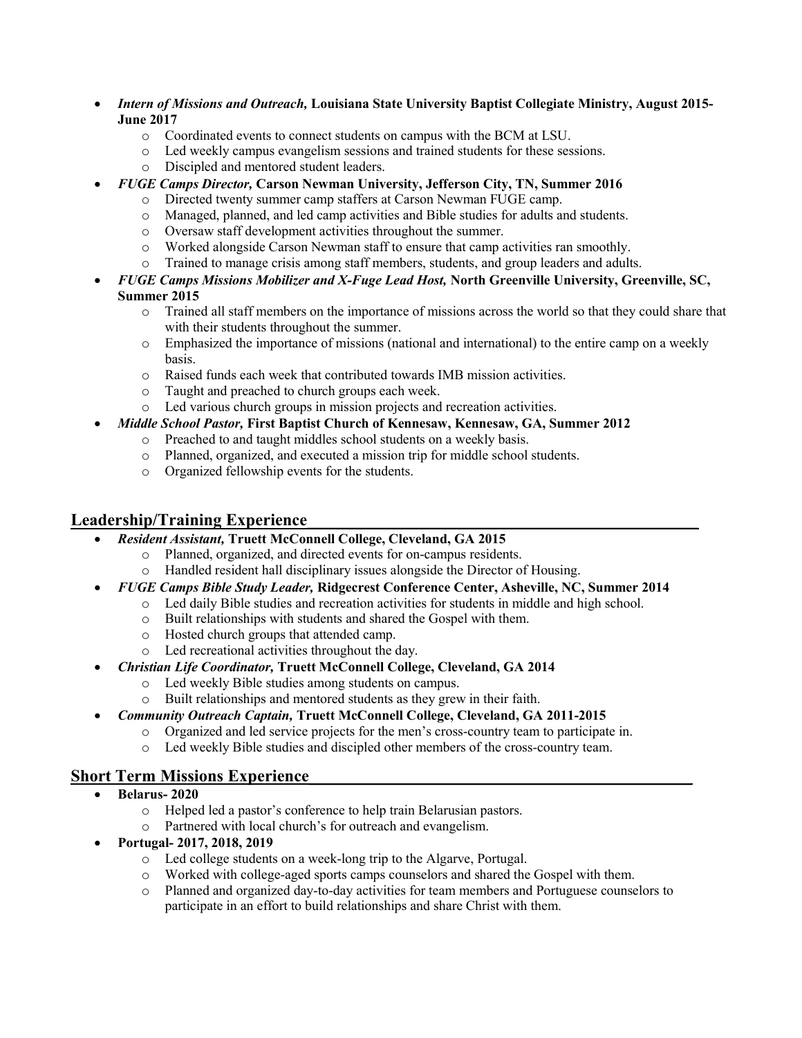- Intern of Missions and Outreach, Louisiana State University Baptist Collegiate Ministry, August 2015- June 2017
	- o Coordinated events to connect students on campus with the BCM at LSU.
	- o Led weekly campus evangelism sessions and trained students for these sessions.
	- o Discipled and mentored student leaders.
- FUGE Camps Director, Carson Newman University, Jefferson City, TN, Summer 2016
	- o Directed twenty summer camp staffers at Carson Newman FUGE camp.
	- o Managed, planned, and led camp activities and Bible studies for adults and students.
	- o Oversaw staff development activities throughout the summer.
	- o Worked alongside Carson Newman staff to ensure that camp activities ran smoothly.
	- o Trained to manage crisis among staff members, students, and group leaders and adults.
- FUGE Camps Missions Mobilizer and X-Fuge Lead Host, North Greenville University, Greenville, SC, Summer 2015
	- o Trained all staff members on the importance of missions across the world so that they could share that with their students throughout the summer.
	- o Emphasized the importance of missions (national and international) to the entire camp on a weekly basis.
	- o Raised funds each week that contributed towards IMB mission activities.
	- o Taught and preached to church groups each week.
	- o Led various church groups in mission projects and recreation activities.
- Middle School Pastor, First Baptist Church of Kennesaw, Kennesaw, GA, Summer 2012
	- o Preached to and taught middles school students on a weekly basis.
	- o Planned, organized, and executed a mission trip for middle school students.
	- o Organized fellowship events for the students.

#### Leadership/Training Experience

- Resident Assistant, Truett McConnell College, Cleveland, GA 2015
	- o Planned, organized, and directed events for on-campus residents.
	- o Handled resident hall disciplinary issues alongside the Director of Housing.
- FUGE Camps Bible Study Leader, Ridgecrest Conference Center, Asheville, NC, Summer 2014
	- o Led daily Bible studies and recreation activities for students in middle and high school.
	- o Built relationships with students and shared the Gospel with them.
	- o Hosted church groups that attended camp.
	- o Led recreational activities throughout the day.
- Christian Life Coordinator, Truett McConnell College, Cleveland, GA 2014
	- o Led weekly Bible studies among students on campus.
	- o Built relationships and mentored students as they grew in their faith.
- Community Outreach Captain, Truett McConnell College, Cleveland, GA 2011-2015
	- o Organized and led service projects for the men's cross-country team to participate in.
	- o Led weekly Bible studies and discipled other members of the cross-country team.

## Short Term Missions Experience

- Belarus- 2020
	- o Helped led a pastor's conference to help train Belarusian pastors.
	- o Partnered with local church's for outreach and evangelism.
- Portugal- 2017, 2018, 2019
	- o Led college students on a week-long trip to the Algarve, Portugal.
	- o Worked with college-aged sports camps counselors and shared the Gospel with them.
	- o Planned and organized day-to-day activities for team members and Portuguese counselors to participate in an effort to build relationships and share Christ with them.